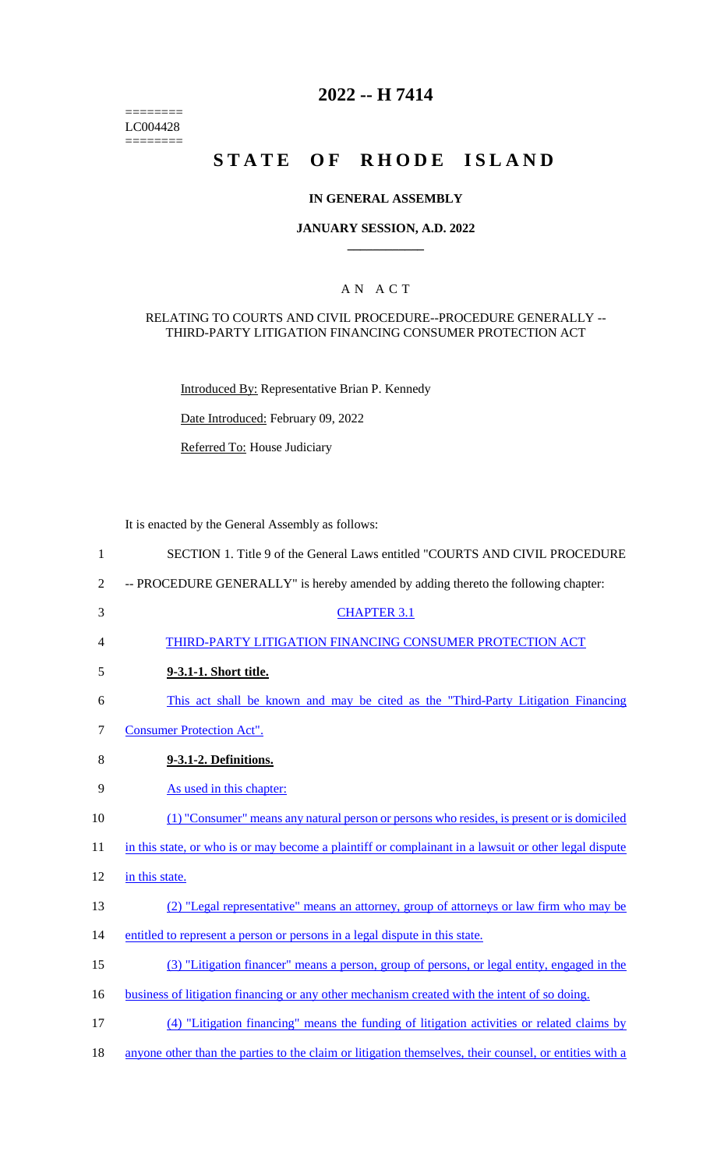$=$ LC004428  $=$ 

# **2022 -- H 7414**

# **STATE OF RHODE ISLAND**

### **IN GENERAL ASSEMBLY**

### **JANUARY SESSION, A.D. 2022 \_\_\_\_\_\_\_\_\_\_\_\_**

### A N A C T

#### RELATING TO COURTS AND CIVIL PROCEDURE--PROCEDURE GENERALLY -- THIRD-PARTY LITIGATION FINANCING CONSUMER PROTECTION ACT

Introduced By: Representative Brian P. Kennedy

Date Introduced: February 09, 2022

Referred To: House Judiciary

It is enacted by the General Assembly as follows:

| $\mathbf{1}$   | SECTION 1. Title 9 of the General Laws entitled "COURTS AND CIVIL PROCEDURE                            |
|----------------|--------------------------------------------------------------------------------------------------------|
| $\overline{2}$ | -- PROCEDURE GENERALLY" is hereby amended by adding thereto the following chapter:                     |
| 3              | <b>CHAPTER 3.1</b>                                                                                     |
| 4              | THIRD-PARTY LITIGATION FINANCING CONSUMER PROTECTION ACT                                               |
| 5              | 9-3.1-1. Short title.                                                                                  |
| 6              | This act shall be known and may be cited as the "Third-Party Litigation Financing"                     |
| 7              | <b>Consumer Protection Act".</b>                                                                       |
| 8              | 9-3.1-2. Definitions.                                                                                  |
| 9              | As used in this chapter:                                                                               |
| 10             | (1) "Consumer" means any natural person or persons who resides, is present or is domiciled             |
| 11             | in this state, or who is or may become a plaintiff or complainant in a lawsuit or other legal dispute  |
| 12             | in this state.                                                                                         |
| 13             | (2) "Legal representative" means an attorney, group of attorneys or law firm who may be                |
| 14             | entitled to represent a person or persons in a legal dispute in this state.                            |
| 15             | (3) "Litigation financer" means a person, group of persons, or legal entity, engaged in the            |
| 16             | business of litigation financing or any other mechanism created with the intent of so doing.           |
| 17             | (4) "Litigation financing" means the funding of litigation activities or related claims by             |
| 18             | anyone other than the parties to the claim or litigation themselves, their counsel, or entities with a |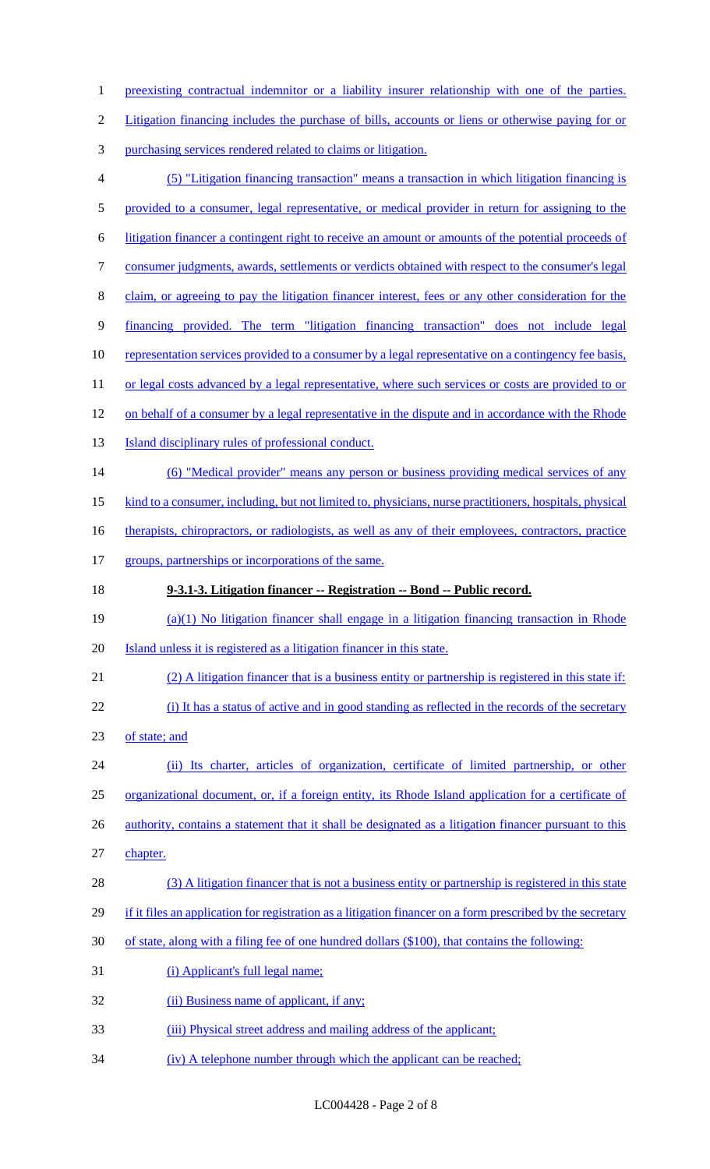1 preexisting contractual indemnitor or a liability insurer relationship with one of the parties. Litigation financing includes the purchase of bills, accounts or liens or otherwise paying for or purchasing services rendered related to claims or litigation. (5) "Litigation financing transaction" means a transaction in which litigation financing is provided to a consumer, legal representative, or medical provider in return for assigning to the litigation financer a contingent right to receive an amount or amounts of the potential proceeds of consumer judgments, awards, settlements or verdicts obtained with respect to the consumer's legal claim, or agreeing to pay the litigation financer interest, fees or any other consideration for the financing provided. The term "litigation financing transaction" does not include legal 10 representation services provided to a consumer by a legal representative on a contingency fee basis, 11 or legal costs advanced by a legal representative, where such services or costs are provided to or 12 on behalf of a consumer by a legal representative in the dispute and in accordance with the Rhode **Island disciplinary rules of professional conduct.**  (6) "Medical provider" means any person or business providing medical services of any kind to a consumer, including, but not limited to, physicians, nurse practitioners, hospitals, physical 16 therapists, chiropractors, or radiologists, as well as any of their employees, contractors, practice 17 groups, partnerships or incorporations of the same. **9-3.1-3. Litigation financer -- Registration -- Bond -- Public record.** (a)(1) No litigation financer shall engage in a litigation financing transaction in Rhode Island unless it is registered as a litigation financer in this state. (2) A litigation financer that is a business entity or partnership is registered in this state if: (i) It has a status of active and in good standing as reflected in the records of the secretary of state; and (ii) Its charter, articles of organization, certificate of limited partnership, or other organizational document, or, if a foreign entity, its Rhode Island application for a certificate of 26 authority, contains a statement that it shall be designated as a litigation financer pursuant to this chapter. 28 (3) A litigation financer that is not a business entity or partnership is registered in this state 29 if it files an application for registration as a litigation financer on a form prescribed by the secretary of state, along with a filing fee of one hundred dollars (\$100), that contains the following: (i) Applicant's full legal name; 32 (ii) Business name of applicant, if any; (iii) Physical street address and mailing address of the applicant; (iv) A telephone number through which the applicant can be reached;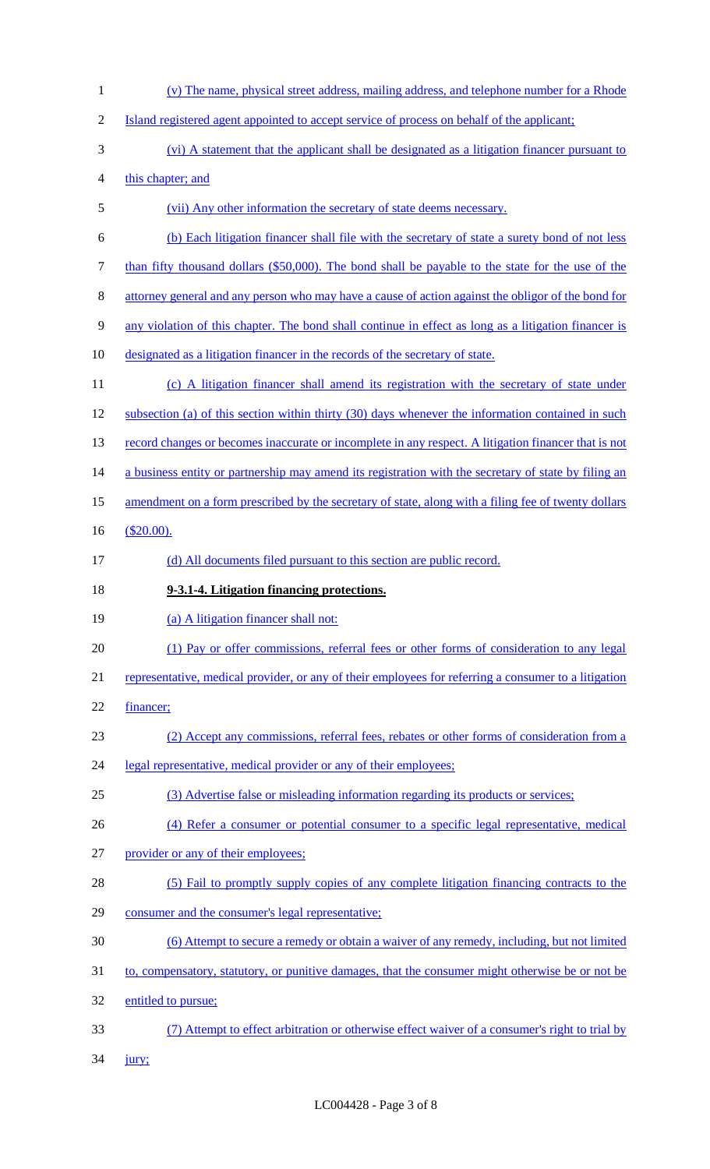- (v) The name, physical street address, mailing address, and telephone number for a Rhode Island registered agent appointed to accept service of process on behalf of the applicant; (vi) A statement that the applicant shall be designated as a litigation financer pursuant to this chapter; and (vii) Any other information the secretary of state deems necessary. (b) Each litigation financer shall file with the secretary of state a surety bond of not less 7 than fifty thousand dollars (\$50,000). The bond shall be payable to the state for the use of the attorney general and any person who may have a cause of action against the obligor of the bond for any violation of this chapter. The bond shall continue in effect as long as a litigation financer is designated as a litigation financer in the records of the secretary of state. 11 (c) A litigation financer shall amend its registration with the secretary of state under subsection (a) of this section within thirty (30) days whenever the information contained in such 13 record changes or becomes inaccurate or incomplete in any respect. A litigation financer that is not 14 a business entity or partnership may amend its registration with the secretary of state by filing an 15 amendment on a form prescribed by the secretary of state, along with a filing fee of twenty dollars (\$20.00). (d) All documents filed pursuant to this section are public record. **9-3.1-4. Litigation financing protections.** 19 (a) A litigation financer shall not: (1) Pay or offer commissions, referral fees or other forms of consideration to any legal representative, medical provider, or any of their employees for referring a consumer to a litigation financer; (2) Accept any commissions, referral fees, rebates or other forms of consideration from a 24 legal representative, medical provider or any of their employees; (3) Advertise false or misleading information regarding its products or services; (4) Refer a consumer or potential consumer to a specific legal representative, medical 27 provider <u>or any of their employees;</u> (5) Fail to promptly supply copies of any complete litigation financing contracts to the consumer and the consumer's legal representative; (6) Attempt to secure a remedy or obtain a waiver of any remedy, including, but not limited 31 to, compensatory, statutory, or punitive damages, that the consumer might otherwise be or not be entitled to pursue; (7) Attempt to effect arbitration or otherwise effect waiver of a consumer's right to trial by
- 34 <u>jury</u>;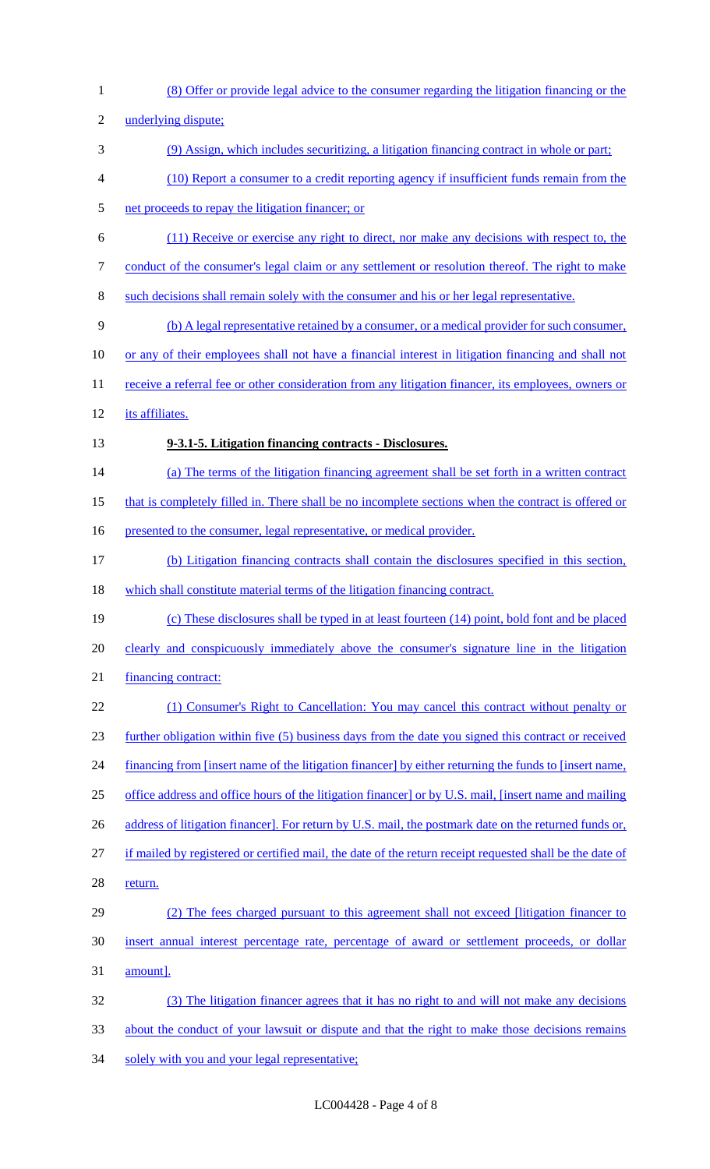(8) Offer or provide legal advice to the consumer regarding the litigation financing or the underlying dispute; (9) Assign, which includes securitizing, a litigation financing contract in whole or part; (10) Report a consumer to a credit reporting agency if insufficient funds remain from the net proceeds to repay the litigation financer; or (11) Receive or exercise any right to direct, nor make any decisions with respect to, the 7 conduct of the consumer's legal claim or any settlement or resolution thereof. The right to make such decisions shall remain solely with the consumer and his or her legal representative. (b) A legal representative retained by a consumer, or a medical provider for such consumer, or any of their employees shall not have a financial interest in litigation financing and shall not 11 receive a referral fee or other consideration from any litigation financer, its employees, owners or its affiliates. **9-3.1-5. Litigation financing contracts - Disclosures.** (a) The terms of the litigation financing agreement shall be set forth in a written contract that is completely filled in. There shall be no incomplete sections when the contract is offered or 16 presented to the consumer, legal representative, or medical provider. (b) Litigation financing contracts shall contain the disclosures specified in this section, which shall constitute material terms of the litigation financing contract. (c) These disclosures shall be typed in at least fourteen (14) point, bold font and be placed clearly and conspicuously immediately above the consumer's signature line in the litigation financing contract: 22 (1) Consumer's Right to Cancellation: You may cancel this contract without penalty or further obligation within five (5) business days from the date you signed this contract or received 24 financing from [insert name of the litigation financer] by either returning the funds to [insert name, office address and office hours of the litigation financer] or by U.S. mail, [insert name and mailing 26 address of litigation financer]. For return by U.S. mail, the postmark date on the returned funds or, if mailed by registered or certified mail, the date of the return receipt requested shall be the date of 28 return. (2) The fees charged pursuant to this agreement shall not exceed [litigation financer to insert annual interest percentage rate, percentage of award or settlement proceeds, or dollar amount]. (3) The litigation financer agrees that it has no right to and will not make any decisions about the conduct of your lawsuit or dispute and that the right to make those decisions remains 34 solely with you and your legal representative;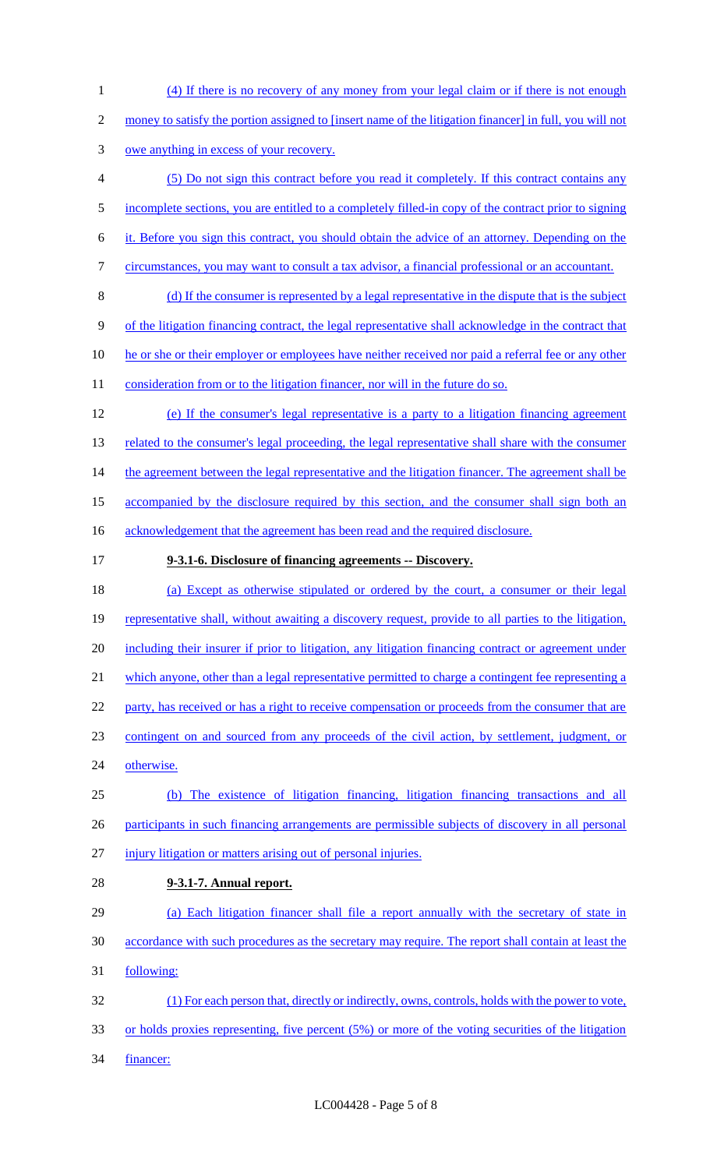money to satisfy the portion assigned to [insert name of the litigation financer] in full, you will not owe anything in excess of your recovery. (5) Do not sign this contract before you read it completely. If this contract contains any incomplete sections, you are entitled to a completely filled-in copy of the contract prior to signing it. Before you sign this contract, you should obtain the advice of an attorney. Depending on the circumstances, you may want to consult a tax advisor, a financial professional or an accountant. (d) If the consumer is represented by a legal representative in the dispute that is the subject of the litigation financing contract, the legal representative shall acknowledge in the contract that 10 he or she or their employer or employees have neither received nor paid a referral fee or any other 11 consideration from or to the litigation financer, nor will in the future do so. (e) If the consumer's legal representative is a party to a litigation financing agreement 13 related to the consumer's legal proceeding, the legal representative shall share with the consumer 14 the agreement between the legal representative and the litigation financer. The agreement shall be 15 accompanied by the disclosure required by this section, and the consumer shall sign both an 16 acknowledgement that the agreement has been read and the required disclosure. **9-3.1-6. Disclosure of financing agreements -- Discovery.** (a) Except as otherwise stipulated or ordered by the court, a consumer or their legal 19 representative shall, without awaiting a discovery request, provide to all parties to the litigation, including their insurer if prior to litigation, any litigation financing contract or agreement under which anyone, other than a legal representative permitted to charge a contingent fee representing a 22 party, has received or has a right to receive compensation or proceeds from the consumer that are contingent on and sourced from any proceeds of the civil action, by settlement, judgment, or otherwise. (b) The existence of litigation financing, litigation financing transactions and all participants in such financing arrangements are permissible subjects of discovery in all personal injury litigation or matters arising out of personal injuries. **9-3.1-7. Annual report.**

(4) If there is no recovery of any money from your legal claim or if there is not enough

- (a) Each litigation financer shall file a report annually with the secretary of state in accordance with such procedures as the secretary may require. The report shall contain at least the following: (1) For each person that, directly or indirectly, owns, controls, holds with the power to vote, or holds proxies representing, five percent (5%) or more of the voting securities of the litigation
- financer: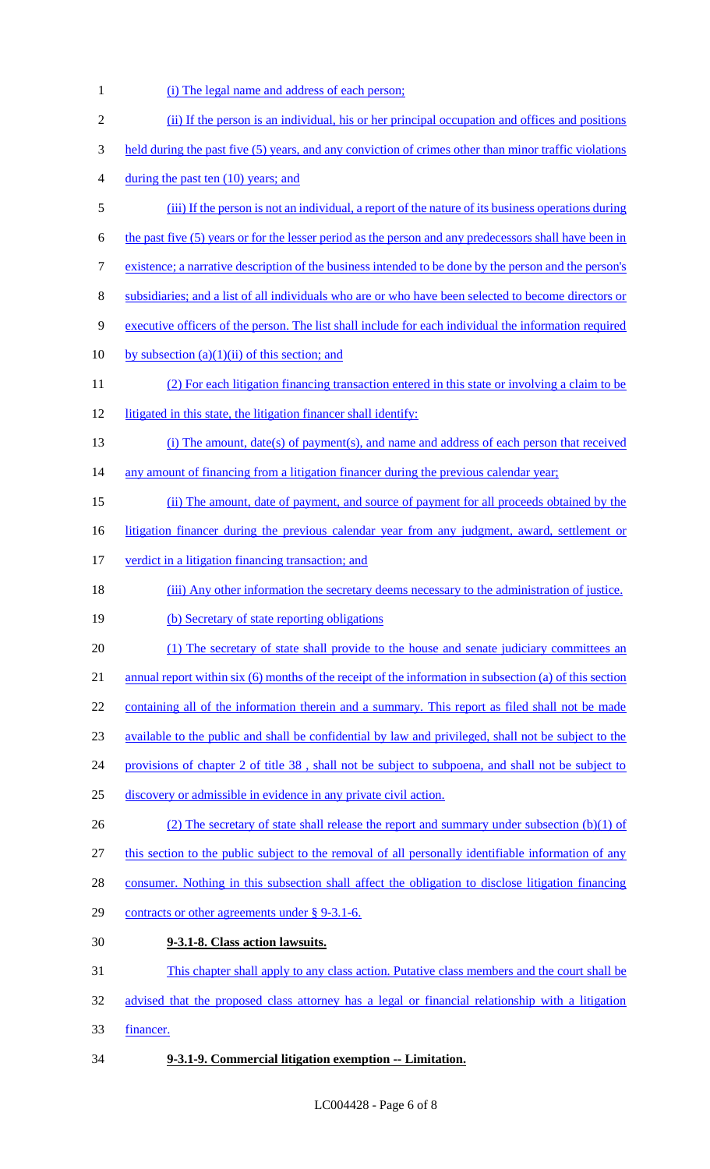1 (i) The legal name and address of each person; (ii) If the person is an individual, his or her principal occupation and offices and positions 3 held during the past five (5) years, and any conviction of crimes other than minor traffic violations 4 during the past ten (10) years; and (iii) If the person is not an individual, a report of the nature of its business operations during the past five (5) years or for the lesser period as the person and any predecessors shall have been in existence; a narrative description of the business intended to be done by the person and the person's subsidiaries; and a list of all individuals who are or who have been selected to become directors or executive officers of the person. The list shall include for each individual the information required 10 by subsection  $(a)(1)(ii)$  of this section; and (2) For each litigation financing transaction entered in this state or involving a claim to be litigated in this state, the litigation financer shall identify: (i) The amount, date(s) of payment(s), and name and address of each person that received 14 any amount of financing from a litigation financer during the previous calendar year; (ii) The amount, date of payment, and source of payment for all proceeds obtained by the 16 litigation financer during the previous calendar year from any judgment, award, settlement or 17 verdict in a litigation financing transaction; and 18 (iii) Any other information the secretary deems necessary to the administration of justice. 19 (b) Secretary of state reporting obligations (1) The secretary of state shall provide to the house and senate judiciary committees an 21 annual report within six (6) months of the receipt of the information in subsection (a) of this section 22 containing all of the information therein and a summary. This report as filed shall not be made available to the public and shall be confidential by law and privileged, shall not be subject to the provisions of chapter 2 of title 38 , shall not be subject to subpoena, and shall not be subject to discovery or admissible in evidence in any private civil action. 26 (2) The secretary of state shall release the report and summary under subsection (b)(1) of this section to the public subject to the removal of all personally identifiable information of any consumer. Nothing in this subsection shall affect the obligation to disclose litigation financing contracts or other agreements under § 9-3.1-6. **9-3.1-8. Class action lawsuits.** This chapter shall apply to any class action. Putative class members and the court shall be advised that the proposed class attorney has a legal or financial relationship with a litigation financer. **9-3.1-9. Commercial litigation exemption -- Limitation.**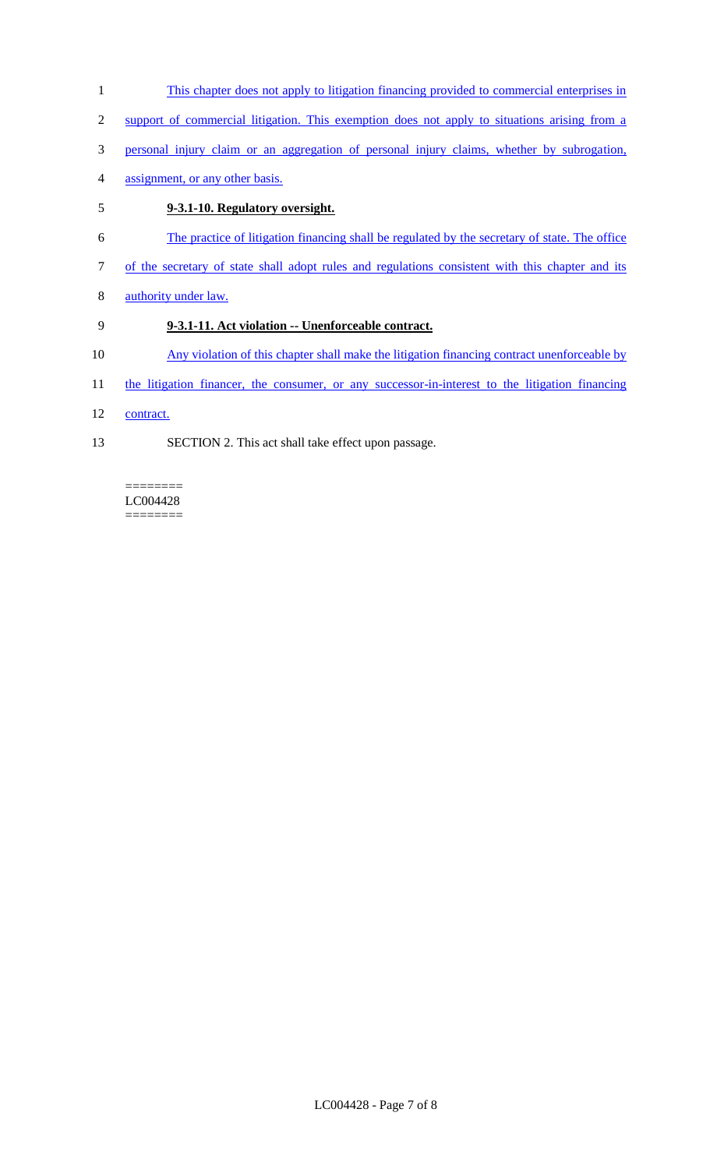- 1 This chapter does not apply to litigation financing provided to commercial enterprises in
- 2 support of commercial litigation. This exemption does not apply to situations arising from a
- 3 personal injury claim or an aggregation of personal injury claims, whether by subrogation,
- 4 assignment, or any other basis.

# 5 **9-3.1-10. Regulatory oversight.**

- 6 The practice of litigation financing shall be regulated by the secretary of state. The office
- 7 of the secretary of state shall adopt rules and regulations consistent with this chapter and its
- 8 authority under law.

# 9 **9-3.1-11. Act violation -- Unenforceable contract.**

- 10 Any violation of this chapter shall make the litigation financing contract unenforceable by
- 11 the litigation financer, the consumer, or any successor-in-interest to the litigation financing
- 12 contract.
- 13 SECTION 2. This act shall take effect upon passage.

### LC004428 ========

 $=$